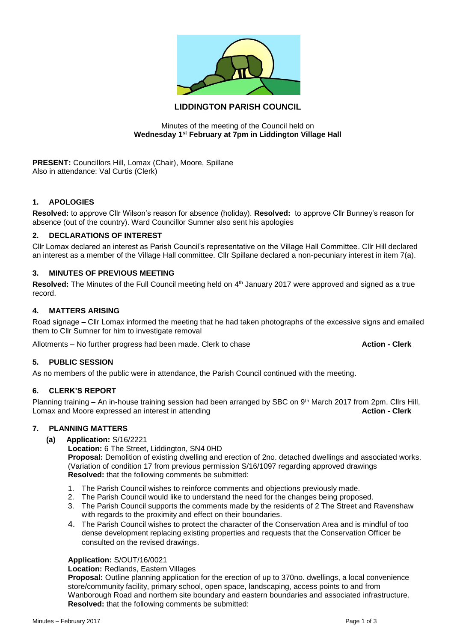

# **LIDDINGTON PARISH COUNCIL**

### Minutes of the meeting of the Council held on **Wednesday 1st February at 7pm in Liddington Village Hall**

**PRESENT:** Councillors Hill, Lomax (Chair), Moore, Spillane Also in attendance: Val Curtis (Clerk)

## **1. APOLOGIES**

**Resolved:** to approve Cllr Wilson's reason for absence (holiday). **Resolved:** to approve Cllr Bunney's reason for absence (out of the country). Ward Councillor Sumner also sent his apologies

### **2. DECLARATIONS OF INTEREST**

Cllr Lomax declared an interest as Parish Council's representative on the Village Hall Committee. Cllr Hill declared an interest as a member of the Village Hall committee. Cllr Spillane declared a non-pecuniary interest in item 7(a).

### **3. MINUTES OF PREVIOUS MEETING**

Resolved: The Minutes of the Full Council meeting held on 4<sup>th</sup> January 2017 were approved and signed as a true record.

## **4. MATTERS ARISING**

Road signage – Cllr Lomax informed the meeting that he had taken photographs of the excessive signs and emailed them to Cllr Sumner for him to investigate removal

Allotments – No further progress had been made. Clerk to chase **Action - Clerk**

### **5. PUBLIC SESSION**

As no members of the public were in attendance, the Parish Council continued with the meeting.

### **6. CLERK'S REPORT**

Planning training – An in-house training session had been arranged by SBC on 9<sup>th</sup> March 2017 from 2pm. Cllrs Hill, **Lomax and Moore expressed an interest in attending the action of the Clerk Action - Clerk** 

## **7. PLANNING MATTERS**

**(a) Application:** S/16/2221

**Location:** 6 The Street, Liddington, SN4 0HD

**Proposal:** Demolition of existing dwelling and erection of 2no. detached dwellings and associated works. (Variation of condition 17 from previous permission S/16/1097 regarding approved drawings **Resolved:** that the following comments be submitted:

- 1. The Parish Council wishes to reinforce comments and objections previously made.
- 2. The Parish Council would like to understand the need for the changes being proposed.
- 3. The Parish Council supports the comments made by the residents of 2 The Street and Ravenshaw with regards to the proximity and effect on their boundaries.
- 4. The Parish Council wishes to protect the character of the Conservation Area and is mindful of too dense development replacing existing properties and requests that the Conservation Officer be consulted on the revised drawings.

### **Application:** S/OUT/16/0021

**Location:** Redlands, Eastern Villages

**Proposal:** Outline planning application for the erection of up to 370no. dwellings, a local convenience store/community facility, primary school, open space, landscaping, access points to and from Wanborough Road and northern site boundary and eastern boundaries and associated infrastructure. **Resolved:** that the following comments be submitted: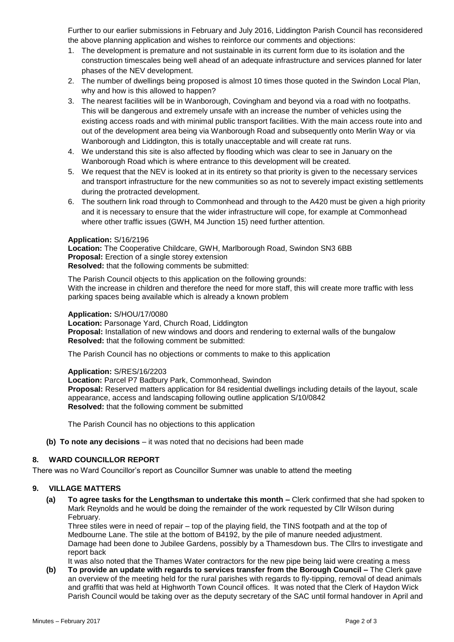Further to our earlier submissions in February and July 2016, Liddington Parish Council has reconsidered the above planning application and wishes to reinforce our comments and objections:

- 1. The development is premature and not sustainable in its current form due to its isolation and the construction timescales being well ahead of an adequate infrastructure and services planned for later phases of the NEV development.
- 2. The number of dwellings being proposed is almost 10 times those quoted in the Swindon Local Plan, why and how is this allowed to happen?
- 3. The nearest facilities will be in Wanborough, Covingham and beyond via a road with no footpaths. This will be dangerous and extremely unsafe with an increase the number of vehicles using the existing access roads and with minimal public transport facilities. With the main access route into and out of the development area being via Wanborough Road and subsequently onto Merlin Way or via Wanborough and Liddington, this is totally unacceptable and will create rat runs.
- 4. We understand this site is also affected by flooding which was clear to see in January on the Wanborough Road which is where entrance to this development will be created.
- 5. We request that the NEV is looked at in its entirety so that priority is given to the necessary services and transport infrastructure for the new communities so as not to severely impact existing settlements during the protracted development.
- 6. The southern link road through to Commonhead and through to the A420 must be given a high priority and it is necessary to ensure that the wider infrastructure will cope, for example at Commonhead where other traffic issues (GWH, M4 Junction 15) need further attention.

### **Application:** S/16/2196

**Location:** The Cooperative Childcare, GWH, Marlborough Road, Swindon SN3 6BB **Proposal:** Erection of a single storey extension **Resolved:** that the following comments be submitted:

The Parish Council objects to this application on the following grounds: With the increase in children and therefore the need for more staff, this will create more traffic with less parking spaces being available which is already a known problem

## **Application:** S/HOU/17/0080

**Location:** Parsonage Yard, Church Road, Liddington **Proposal:** Installation of new windows and doors and rendering to external walls of the bungalow **Resolved:** that the following comment be submitted:

The Parish Council has no objections or comments to make to this application

### **Application:** S/RES/16/2203

**Location:** Parcel P7 Badbury Park, Commonhead, Swindon **Proposal:** Reserved matters application for 84 residential dwellings including details of the layout, scale appearance, access and landscaping following outline application S/10/0842 **Resolved:** that the following comment be submitted

The Parish Council has no objections to this application

**(b) To note any decisions** – it was noted that no decisions had been made

## **8. WARD COUNCILLOR REPORT**

There was no Ward Councillor's report as Councillor Sumner was unable to attend the meeting

## **9. VILLAGE MATTERS**

**(a) To agree tasks for the Lengthsman to undertake this month –** Clerk confirmed that she had spoken to Mark Reynolds and he would be doing the remainder of the work requested by Cllr Wilson during February.

Three stiles were in need of repair – top of the playing field, the TINS footpath and at the top of Medbourne Lane. The stile at the bottom of B4192, by the pile of manure needed adjustment. Damage had been done to Jubilee Gardens, possibly by a Thamesdown bus. The Cllrs to investigate and report back

It was also noted that the Thames Water contractors for the new pipe being laid were creating a mess

**(b) To provide an update with regards to services transfer from the Borough Council –** The Clerk gave an overview of the meeting held for the rural parishes with regards to fly-tipping, removal of dead animals and graffiti that was held at Highworth Town Council offices. It was noted that the Clerk of Haydon Wick Parish Council would be taking over as the deputy secretary of the SAC until formal handover in April and